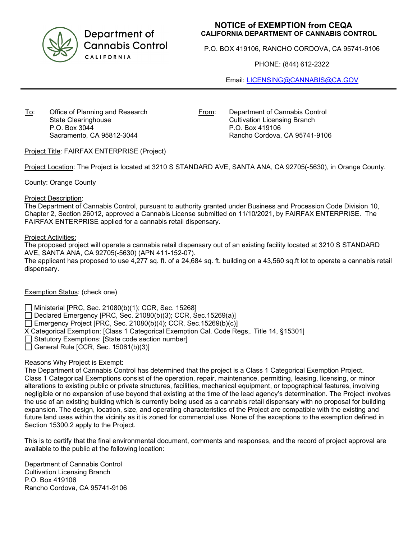

Department of **Cannabis Control** CALIFORNIA

# **NOTICE of EXEMPTION from CEQA CALIFORNIA DEPARTMENT OF CANNABIS CONTROL**

P.O. BOX 419106, RANCHO CORDOVA, CA 95741-9106

PHONE: (844) 612-2322

Email: [LICENSING@CANNABIS@CA.GOV](mailto:LICENSING@CANNABIS@CA.GOV)

To: Office of Planning and Research State Clearinghouse P.O. Box 3044 Sacramento, CA 95812-3044

From: Department of Cannabis Control Cultivation Licensing Branch P.O. Box 419106 Rancho Cordova, CA 95741-9106

Project Title: FAIRFAX ENTERPRISE (Project)

Project Location: The Project is located at 3210 S STANDARD AVE, SANTA ANA, CA 92705(-5630), in Orange County.

County: Orange County

#### Project Description:

The Department of Cannabis Control, pursuant to authority granted under Business and Procession Code Division 10, Chapter 2, Section 26012, approved a Cannabis License submitted on 11/10/2021, by FAIRFAX ENTERPRISE. The FAIRFAX ENTERPRISE applied for a cannabis retail dispensary.

## Project Activities:

The proposed project will operate a cannabis retail dispensary out of an existing facility located at 3210 S STANDARD AVE, SANTA ANA, CA 92705(-5630) (APN 411-152-07).

The applicant has proposed to use 4,277 sq. ft. of a 24,684 sq. ft. building on a 43,560 sq.ft lot to operate a cannabis retail dispensary.

## Exemption Status: (check one)

Ministerial [PRC, Sec. 21080(b)(1); CCR, Sec. 15268]

Declared Emergency [PRC, Sec. 21080(b)(3); CCR, Sec.15269(a)]

Emergency Project [PRC, Sec. 21080(b)(4); CCR, Sec.15269(b)(c)]

X Categorical Exemption: [Class 1 Categorical Exemption Cal. Code Regs,. Title 14, §15301]

Statutory Exemptions: [State code section number]

General Rule [CCR, Sec.  $15061(b)(3)$ ]

## Reasons Why Project is Exempt:

The Department of Cannabis Control has determined that the project is a Class 1 Categorical Exemption Project. Class 1 Categorical Exemptions consist of the operation, repair, maintenance, permitting, leasing, licensing, or minor alterations to existing public or private structures, facilities, mechanical equipment, or topographical features, involving negligible or no expansion of use beyond that existing at the time of the lead agency's determination. The Project involves the use of an existing building which is currently being used as a cannabis retail dispensary with no proposal for building expansion. The design, location, size, and operating characteristics of the Project are compatible with the existing and future land uses within the vicinity as it is zoned for commercial use. None of the exceptions to the exemption defined in Section 15300.2 apply to the Project.

This is to certify that the final environmental document, comments and responses, and the record of project approval are available to the public at the following location:

Department of Cannabis Control Cultivation Licensing Branch P.O. Box 419106 Rancho Cordova, CA 95741-9106